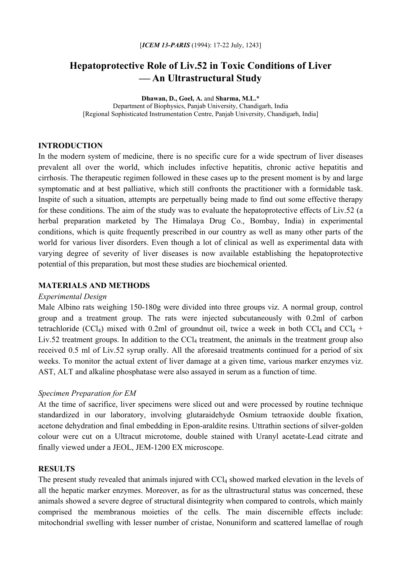# **Hepatoprotective Role of Liv.52 in Toxic Conditions of Liver -An Ultrastructural Study**

**Dhawan, D., Goel, A.** and **Sharma, M.L.**\* Department of Biophysics, Panjab University, Chandigarh, India [Regional Sophisticated Instrumentation Centre, Panjab University, Chandigarh, India]

## **INTRODUCTION**

In the modern system of medicine, there is no specific cure for a wide spectrum of liver diseases prevalent all over the world, which includes infective hepatitis, chronic active hepatitis and cirrhosis. The therapeutic regimen followed in these cases up to the present moment is by and large symptomatic and at best palliative, which still confronts the practitioner with a formidable task. Inspite of such a situation, attempts are perpetually being made to find out some effective therapy for these conditions. The aim of the study was to evaluate the hepatoprotective effects of Liv.52 (a herbal preparation marketed by The Himalaya Drug Co., Bombay, India) in experimental conditions, which is quite frequently prescribed in our country as well as many other parts of the world for various liver disorders. Even though a lot of clinical as well as experimental data with varying degree of severity of liver diseases is now available establishing the hepatoprotective potential of this preparation, but most these studies are biochemical oriented.

#### **MATERIALS AND METHODS**

#### *Experimental Design*

Male Albino rats weighing 150-180g were divided into three groups viz. A normal group, control group and a treatment group. The rats were injected subcutaneously with 0.2ml of carbon tetrachloride (CCl<sub>4</sub>) mixed with 0.2ml of groundnut oil, twice a week in both CCl<sub>4</sub> and CCl<sub>4</sub> + Liv.52 treatment groups. In addition to the  $\text{CCl}_4$  treatment, the animals in the treatment group also received 0.5 ml of Liv.52 syrup orally. All the aforesaid treatments continued for a period of six weeks. To monitor the actual extent of liver damage at a given time, various marker enzymes viz. AST, ALT and alkaline phosphatase were also assayed in serum as a function of time.

#### *Specimen Preparation for EM*

At the time of sacrifice, liver specimens were sliced out and were processed by routine technique standardized in our laboratory, involving glutaraidehyde Osmium tetraoxide double fixation, acetone dehydration and final embedding in Epon-araldite resins. Uttrathin sections of silver-golden colour were cut on a Ultracut microtome, double stained with Uranyl acetate-Lead citrate and finally viewed under a JEOL, JEM-1200 EX microscope.

### **RESULTS**

The present study revealed that animals injured with CCl<sub>4</sub> showed marked elevation in the levels of all the hepatic marker enzymes. Moreover, as for as the ultrastructural status was concerned, these animals showed a severe degree of structural disintegrity when compared to controls, which mainly comprised the membranous moieties of the cells. The main discernible effects include: mitochondrial swelling with lesser number of cristae, Nonuniform and scattered lamellae of rough